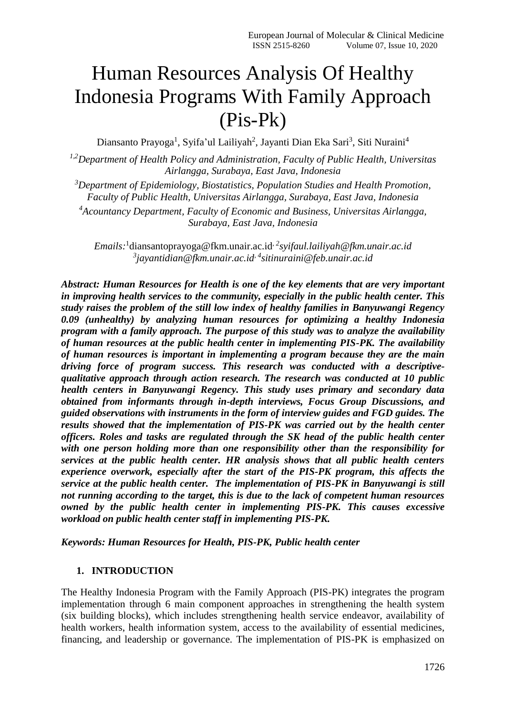# Human Resources Analysis Of Healthy Indonesia Programs With Family Approach (Pis-Pk)

Diansanto Prayoga<sup>1</sup>, Syifa'ul Lailiyah<sup>2</sup>, Jayanti Dian Eka Sari<sup>3</sup>, Siti Nuraini<sup>4</sup>

*1,2Department of Health Policy and Administration, Faculty of Public Health, Universitas Airlangga, Surabaya, East Java, Indonesia*

*<sup>3</sup>Department of Epidemiology, Biostatistics, Population Studies and Health Promotion, Faculty of Public Health, Universitas Airlangga, Surabaya, East Java, Indonesia <sup>4</sup>Acountancy Department, Faculty of Economic and Business, Universitas Airlangga, Surabaya, East Java, Indonesia*

*Emails:* 1 [diansantoprayoga@fkm.unair.ac.id](mailto:1diansantoprayoga@fkm.unair.ac.id), *<sup>2</sup> [syifaul.lailiyah@fkm.unair.ac.id](mailto:2syifaul.lailiyah@fkm.unair.ac.id) 3 [jayantidian@fkm.unair.ac.id](mailto:3jayantidian@fkm.unair.ac.id), 4 sitinuraini@feb.unair.ac.id*

*Abstract: Human Resources for Health is one of the key elements that are very important in improving health services to the community, especially in the public health center. This study raises the problem of the still low index of healthy families in Banyuwangi Regency 0.09 (unhealthy) by analyzing human resources for optimizing a healthy Indonesia program with a family approach. The purpose of this study was to analyze the availability of human resources at the public health center in implementing PIS-PK. The availability of human resources is important in implementing a program because they are the main driving force of program success. This research was conducted with a descriptivequalitative approach through action research. The research was conducted at 10 public health centers in Banyuwangi Regency. This study uses primary and secondary data obtained from informants through in-depth interviews, Focus Group Discussions, and guided observations with instruments in the form of interview guides and FGD guides. The results showed that the implementation of PIS-PK was carried out by the health center officers. Roles and tasks are regulated through the SK head of the public health center with one person holding more than one responsibility other than the responsibility for services at the public health center. HR analysis shows that all public health centers experience overwork, especially after the start of the PIS-PK program, this affects the service at the public health center. The implementation of PIS-PK in Banyuwangi is still not running according to the target, this is due to the lack of competent human resources owned by the public health center in implementing PIS-PK. This causes excessive workload on public health center staff in implementing PIS-PK.*

*Keywords: Human Resources for Health, PIS-PK, Public health center*

#### **1. INTRODUCTION**

The Healthy Indonesia Program with the Family Approach (PIS-PK) integrates the program implementation through 6 main component approaches in strengthening the health system (six building blocks), which includes strengthening health service endeavor, availability of health workers, health information system, access to the availability of essential medicines, financing, and leadership or governance. The implementation of PIS-PK is emphasized on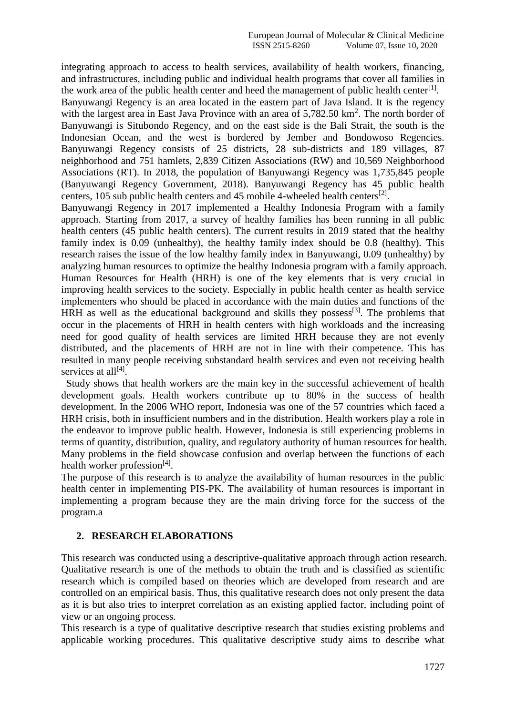integrating approach to access to health services, availability of health workers, financing, and infrastructures, including public and individual health programs that cover all families in the work area of the public health center and heed the management of public health center<sup>[1]</sup>.

Banyuwangi Regency is an area located in the eastern part of Java Island. It is the regency with the largest area in East Java Province with an area of  $5,782.50 \text{ km}^2$ . The north border of Banyuwangi is Situbondo Regency, and on the east side is the Bali Strait, the south is the Indonesian Ocean, and the west is bordered by Jember and Bondowoso Regencies. Banyuwangi Regency consists of 25 districts, 28 sub-districts and 189 villages, 87 neighborhood and 751 hamlets, 2,839 Citizen Associations (RW) and 10,569 Neighborhood Associations (RT). In 2018, the population of Banyuwangi Regency was 1,735,845 people (Banyuwangi Regency Government, 2018). Banyuwangi Regency has 45 public health centers, 105 sub public health centers and 45 mobile 4-wheeled health centers<sup>[2]</sup>.

Banyuwangi Regency in 2017 implemented a Healthy Indonesia Program with a family approach. Starting from 2017, a survey of healthy families has been running in all public health centers (45 public health centers). The current results in 2019 stated that the healthy family index is 0.09 (unhealthy), the healthy family index should be 0.8 (healthy). This research raises the issue of the low healthy family index in Banyuwangi, 0.09 (unhealthy) by analyzing human resources to optimize the healthy Indonesia program with a family approach. Human Resources for Health (HRH) is one of the key elements that is very crucial in improving health services to the society. Especially in public health center as health service implementers who should be placed in accordance with the main duties and functions of the HRH as well as the educational background and skills they possess<sup>[3]</sup>. The problems that occur in the placements of HRH in health centers with high workloads and the increasing need for good quality of health services are limited HRH because they are not evenly distributed, and the placements of HRH are not in line with their competence. This has resulted in many people receiving substandard health services and even not receiving health services at all<sup>[4]</sup>.

 Study shows that health workers are the main key in the successful achievement of health development goals. Health workers contribute up to 80% in the success of health development. In the 2006 WHO report, Indonesia was one of the 57 countries which faced a HRH crisis, both in insufficient numbers and in the distribution. Health workers play a role in the endeavor to improve public health. However, Indonesia is still experiencing problems in terms of quantity, distribution, quality, and regulatory authority of human resources for health. Many problems in the field showcase confusion and overlap between the functions of each health worker profession<sup>[4]</sup>.

The purpose of this research is to analyze the availability of human resources in the public health center in implementing PIS-PK. The availability of human resources is important in implementing a program because they are the main driving force for the success of the program.a

### **2. RESEARCH ELABORATIONS**

This research was conducted using a descriptive-qualitative approach through action research. Qualitative research is one of the methods to obtain the truth and is classified as scientific research which is compiled based on theories which are developed from research and are controlled on an empirical basis. Thus, this qualitative research does not only present the data as it is but also tries to interpret correlation as an existing applied factor, including point of view or an ongoing process.

This research is a type of qualitative descriptive research that studies existing problems and applicable working procedures. This qualitative descriptive study aims to describe what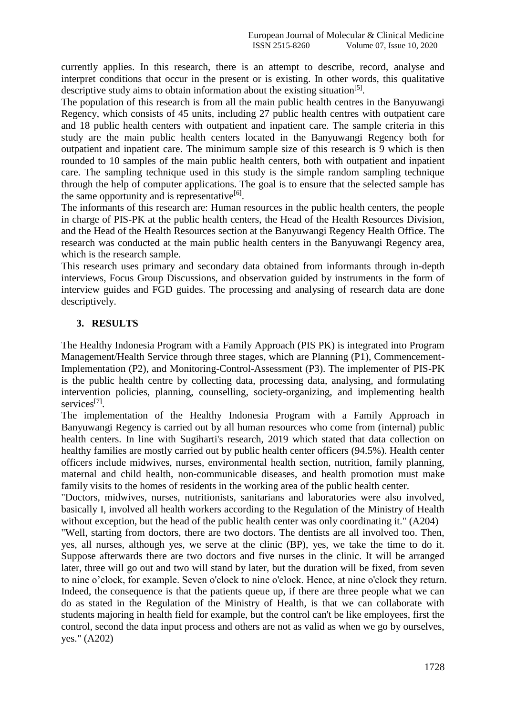currently applies. In this research, there is an attempt to describe, record, analyse and interpret conditions that occur in the present or is existing. In other words, this qualitative descriptive study aims to obtain information about the existing situation<sup>[5]</sup>.

The population of this research is from all the main public health centres in the Banyuwangi Regency, which consists of 45 units, including 27 public health centres with outpatient care and 18 public health centers with outpatient and inpatient care. The sample criteria in this study are the main public health centers located in the Banyuwangi Regency both for outpatient and inpatient care. The minimum sample size of this research is 9 which is then rounded to 10 samples of the main public health centers, both with outpatient and inpatient care. The sampling technique used in this study is the simple random sampling technique through the help of computer applications. The goal is to ensure that the selected sample has the same opportunity and is representative<sup>[6]</sup>.

The informants of this research are: Human resources in the public health centers, the people in charge of PIS-PK at the public health centers, the Head of the Health Resources Division, and the Head of the Health Resources section at the Banyuwangi Regency Health Office. The research was conducted at the main public health centers in the Banyuwangi Regency area, which is the research sample.

This research uses primary and secondary data obtained from informants through in-depth interviews, Focus Group Discussions, and observation guided by instruments in the form of interview guides and FGD guides. The processing and analysing of research data are done descriptively.

### **3. RESULTS**

The Healthy Indonesia Program with a Family Approach (PIS PK) is integrated into Program Management/Health Service through three stages, which are Planning (P1), Commencement-Implementation (P2), and Monitoring-Control-Assessment (P3). The implementer of PIS-PK is the public health centre by collecting data, processing data, analysing, and formulating intervention policies, planning, counselling, society-organizing, and implementing health services<sup>[7]</sup>.

The implementation of the Healthy Indonesia Program with a Family Approach in Banyuwangi Regency is carried out by all human resources who come from (internal) public health centers. In line with Sugiharti's research, 2019 which stated that data collection on healthy families are mostly carried out by public health center officers (94.5%). Health center officers include midwives, nurses, environmental health section, nutrition, family planning, maternal and child health, non-communicable diseases, and health promotion must make family visits to the homes of residents in the working area of the public health center.

"Doctors, midwives, nurses, nutritionists, sanitarians and laboratories were also involved, basically I, involved all health workers according to the Regulation of the Ministry of Health without exception, but the head of the public health center was only coordinating it." (A204)

"Well, starting from doctors, there are two doctors. The dentists are all involved too. Then, yes, all nurses, although yes, we serve at the clinic (BP), yes, we take the time to do it. Suppose afterwards there are two doctors and five nurses in the clinic. It will be arranged later, three will go out and two will stand by later, but the duration will be fixed, from seven to nine o'clock, for example. Seven o'clock to nine o'clock. Hence, at nine o'clock they return. Indeed, the consequence is that the patients queue up, if there are three people what we can do as stated in the Regulation of the Ministry of Health, is that we can collaborate with students majoring in health field for example, but the control can't be like employees, first the control, second the data input process and others are not as valid as when we go by ourselves, yes." (A202)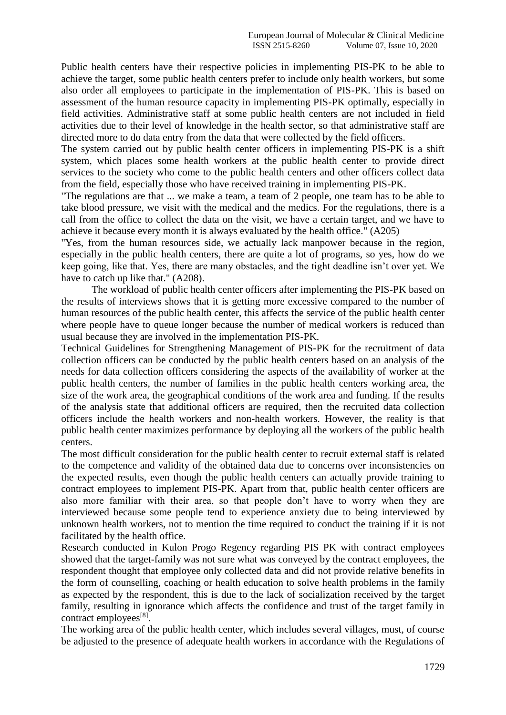Public health centers have their respective policies in implementing PIS-PK to be able to achieve the target, some public health centers prefer to include only health workers, but some also order all employees to participate in the implementation of PIS-PK. This is based on assessment of the human resource capacity in implementing PIS-PK optimally, especially in field activities. Administrative staff at some public health centers are not included in field activities due to their level of knowledge in the health sector, so that administrative staff are directed more to do data entry from the data that were collected by the field officers.

The system carried out by public health center officers in implementing PIS-PK is a shift system, which places some health workers at the public health center to provide direct services to the society who come to the public health centers and other officers collect data from the field, especially those who have received training in implementing PIS-PK.

"The regulations are that ... we make a team, a team of 2 people, one team has to be able to take blood pressure, we visit with the medical and the medics. For the regulations, there is a call from the office to collect the data on the visit, we have a certain target, and we have to achieve it because every month it is always evaluated by the health office." (A205)

"Yes, from the human resources side, we actually lack manpower because in the region, especially in the public health centers, there are quite a lot of programs, so yes, how do we keep going, like that. Yes, there are many obstacles, and the tight deadline isn't over yet. We have to catch up like that." (A208).

The workload of public health center officers after implementing the PIS-PK based on the results of interviews shows that it is getting more excessive compared to the number of human resources of the public health center, this affects the service of the public health center where people have to queue longer because the number of medical workers is reduced than usual because they are involved in the implementation PIS-PK.

Technical Guidelines for Strengthening Management of PIS-PK for the recruitment of data collection officers can be conducted by the public health centers based on an analysis of the needs for data collection officers considering the aspects of the availability of worker at the public health centers, the number of families in the public health centers working area, the size of the work area, the geographical conditions of the work area and funding. If the results of the analysis state that additional officers are required, then the recruited data collection officers include the health workers and non-health workers. However, the reality is that public health center maximizes performance by deploying all the workers of the public health centers.

The most difficult consideration for the public health center to recruit external staff is related to the competence and validity of the obtained data due to concerns over inconsistencies on the expected results, even though the public health centers can actually provide training to contract employees to implement PIS-PK. Apart from that, public health center officers are also more familiar with their area, so that people don't have to worry when they are interviewed because some people tend to experience anxiety due to being interviewed by unknown health workers, not to mention the time required to conduct the training if it is not facilitated by the health office.

Research conducted in Kulon Progo Regency regarding PIS PK with contract employees showed that the target-family was not sure what was conveyed by the contract employees, the respondent thought that employee only collected data and did not provide relative benefits in the form of counselling, coaching or health education to solve health problems in the family as expected by the respondent, this is due to the lack of socialization received by the target family, resulting in ignorance which affects the confidence and trust of the target family in contract employees<sup>[8]</sup>.

The working area of the public health center, which includes several villages, must, of course be adjusted to the presence of adequate health workers in accordance with the Regulations of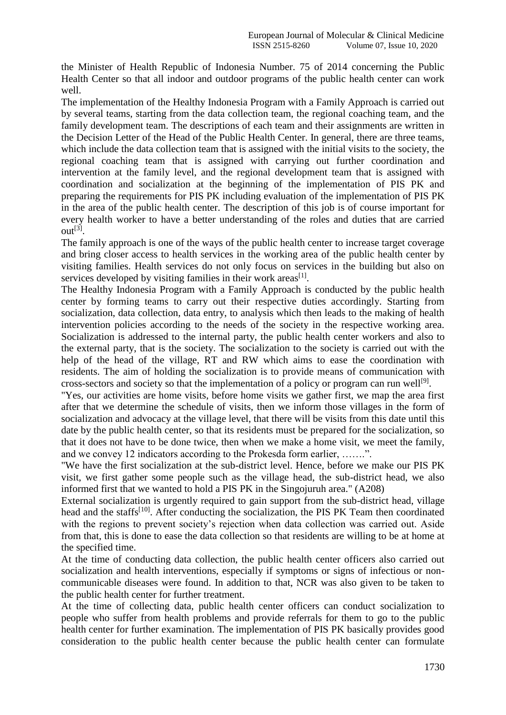the Minister of Health Republic of Indonesia Number. 75 of 2014 concerning the Public Health Center so that all indoor and outdoor programs of the public health center can work well.

The implementation of the Healthy Indonesia Program with a Family Approach is carried out by several teams, starting from the data collection team, the regional coaching team, and the family development team. The descriptions of each team and their assignments are written in the Decision Letter of the Head of the Public Health Center. In general, there are three teams, which include the data collection team that is assigned with the initial visits to the society, the regional coaching team that is assigned with carrying out further coordination and intervention at the family level, and the regional development team that is assigned with coordination and socialization at the beginning of the implementation of PIS PK and preparing the requirements for PIS PK including evaluation of the implementation of PIS PK in the area of the public health center. The description of this job is of course important for every health worker to have a better understanding of the roles and duties that are carried out[3] .

The family approach is one of the ways of the public health center to increase target coverage and bring closer access to health services in the working area of the public health center by visiting families. Health services do not only focus on services in the building but also on services developed by visiting families in their work areas<sup>[1]</sup>.

The Healthy Indonesia Program with a Family Approach is conducted by the public health center by forming teams to carry out their respective duties accordingly. Starting from socialization, data collection, data entry, to analysis which then leads to the making of health intervention policies according to the needs of the society in the respective working area. Socialization is addressed to the internal party, the public health center workers and also to the external party, that is the society. The socialization to the society is carried out with the help of the head of the village, RT and RW which aims to ease the coordination with residents. The aim of holding the socialization is to provide means of communication with cross-sectors and society so that the implementation of a policy or program can run well<sup>[9]</sup>.

"Yes, our activities are home visits, before home visits we gather first, we map the area first after that we determine the schedule of visits, then we inform those villages in the form of socialization and advocacy at the village level, that there will be visits from this date until this date by the public health center, so that its residents must be prepared for the socialization, so that it does not have to be done twice, then when we make a home visit, we meet the family, and we convey 12 indicators according to the Prokesda form earlier, …….".

"We have the first socialization at the sub-district level. Hence, before we make our PIS PK visit, we first gather some people such as the village head, the sub-district head, we also informed first that we wanted to hold a PIS PK in the Singojuruh area." (A208)

External socialization is urgently required to gain support from the sub-district head, village head and the staffs<sup>[10]</sup>. After conducting the socialization, the PIS PK Team then coordinated with the regions to prevent society's rejection when data collection was carried out. Aside from that, this is done to ease the data collection so that residents are willing to be at home at the specified time.

At the time of conducting data collection, the public health center officers also carried out socialization and health interventions, especially if symptoms or signs of infectious or noncommunicable diseases were found. In addition to that, NCR was also given to be taken to the public health center for further treatment.

At the time of collecting data, public health center officers can conduct socialization to people who suffer from health problems and provide referrals for them to go to the public health center for further examination. The implementation of PIS PK basically provides good consideration to the public health center because the public health center can formulate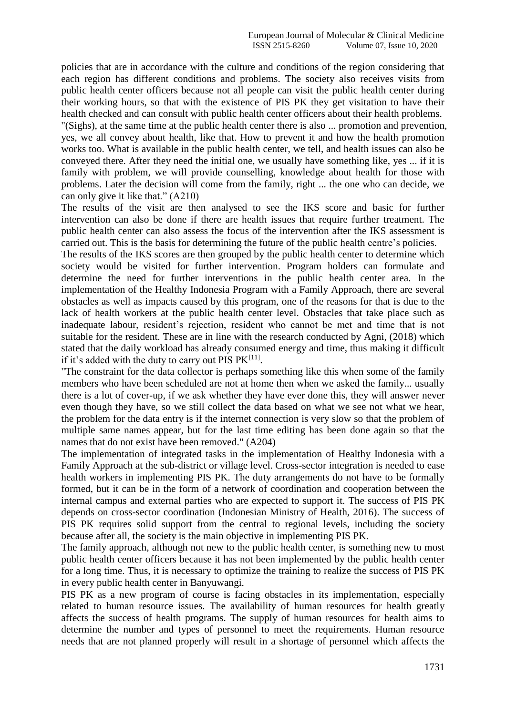policies that are in accordance with the culture and conditions of the region considering that each region has different conditions and problems. The society also receives visits from public health center officers because not all people can visit the public health center during their working hours, so that with the existence of PIS PK they get visitation to have their health checked and can consult with public health center officers about their health problems.

"(Sighs), at the same time at the public health center there is also ... promotion and prevention, yes, we all convey about health, like that. How to prevent it and how the health promotion works too. What is available in the public health center, we tell, and health issues can also be conveyed there. After they need the initial one, we usually have something like, yes ... if it is family with problem, we will provide counselling, knowledge about health for those with problems. Later the decision will come from the family, right ... the one who can decide, we can only give it like that." (A210)

The results of the visit are then analysed to see the IKS score and basic for further intervention can also be done if there are health issues that require further treatment. The public health center can also assess the focus of the intervention after the IKS assessment is carried out. This is the basis for determining the future of the public health centre's policies.

The results of the IKS scores are then grouped by the public health center to determine which society would be visited for further intervention. Program holders can formulate and determine the need for further interventions in the public health center area. In the implementation of the Healthy Indonesia Program with a Family Approach, there are several obstacles as well as impacts caused by this program, one of the reasons for that is due to the lack of health workers at the public health center level. Obstacles that take place such as inadequate labour, resident's rejection, resident who cannot be met and time that is not suitable for the resident. These are in line with the research conducted by Agni, (2018) which stated that the daily workload has already consumed energy and time, thus making it difficult if it's added with the duty to carry out PIS  $PK^{[11]}$ .

"The constraint for the data collector is perhaps something like this when some of the family members who have been scheduled are not at home then when we asked the family... usually there is a lot of cover-up, if we ask whether they have ever done this, they will answer never even though they have, so we still collect the data based on what we see not what we hear, the problem for the data entry is if the internet connection is very slow so that the problem of multiple same names appear, but for the last time editing has been done again so that the names that do not exist have been removed." (A204)

The implementation of integrated tasks in the implementation of Healthy Indonesia with a Family Approach at the sub-district or village level. Cross-sector integration is needed to ease health workers in implementing PIS PK. The duty arrangements do not have to be formally formed, but it can be in the form of a network of coordination and cooperation between the internal campus and external parties who are expected to support it. The success of PIS PK depends on cross-sector coordination (Indonesian Ministry of Health, 2016). The success of PIS PK requires solid support from the central to regional levels, including the society because after all, the society is the main objective in implementing PIS PK.

The family approach, although not new to the public health center, is something new to most public health center officers because it has not been implemented by the public health center for a long time. Thus, it is necessary to optimize the training to realize the success of PIS PK in every public health center in Banyuwangi.

PIS PK as a new program of course is facing obstacles in its implementation, especially related to human resource issues. The availability of human resources for health greatly affects the success of health programs. The supply of human resources for health aims to determine the number and types of personnel to meet the requirements. Human resource needs that are not planned properly will result in a shortage of personnel which affects the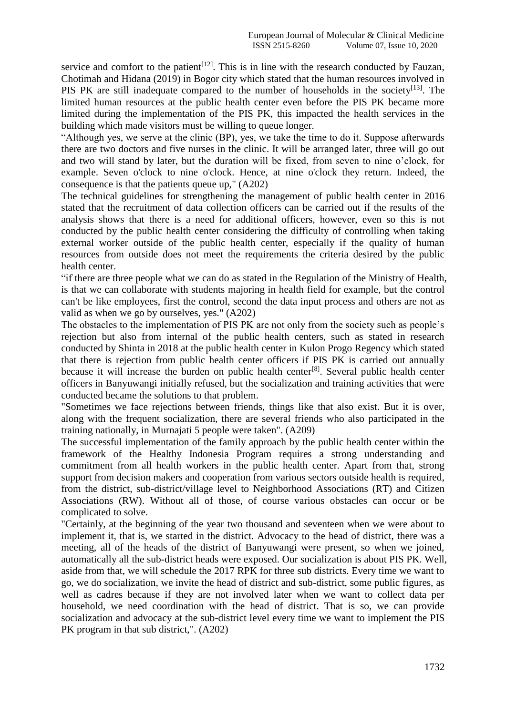service and comfort to the patient<sup>[12]</sup>. This is in line with the research conducted by Fauzan, Chotimah and Hidana (2019) in Bogor city which stated that the human resources involved in PIS PK are still inadequate compared to the number of households in the society<sup>[13]</sup>. The limited human resources at the public health center even before the PIS PK became more limited during the implementation of the PIS PK, this impacted the health services in the building which made visitors must be willing to queue longer.

"Although yes, we serve at the clinic (BP), yes, we take the time to do it. Suppose afterwards there are two doctors and five nurses in the clinic. It will be arranged later, three will go out and two will stand by later, but the duration will be fixed, from seven to nine o'clock, for example. Seven o'clock to nine o'clock. Hence, at nine o'clock they return. Indeed, the consequence is that the patients queue up," (A202)

The technical guidelines for strengthening the management of public health center in 2016 stated that the recruitment of data collection officers can be carried out if the results of the analysis shows that there is a need for additional officers, however, even so this is not conducted by the public health center considering the difficulty of controlling when taking external worker outside of the public health center, especially if the quality of human resources from outside does not meet the requirements the criteria desired by the public health center.

"if there are three people what we can do as stated in the Regulation of the Ministry of Health, is that we can collaborate with students majoring in health field for example, but the control can't be like employees, first the control, second the data input process and others are not as valid as when we go by ourselves, yes." (A202)

The obstacles to the implementation of PIS PK are not only from the society such as people's rejection but also from internal of the public health centers, such as stated in research conducted by Shinta in 2018 at the public health center in Kulon Progo Regency which stated that there is rejection from public health center officers if PIS PK is carried out annually because it will increase the burden on public health center<sup>[8]</sup>. Several public health center officers in Banyuwangi initially refused, but the socialization and training activities that were conducted became the solutions to that problem.

"Sometimes we face rejections between friends, things like that also exist. But it is over, along with the frequent socialization, there are several friends who also participated in the training nationally, in Murnajati 5 people were taken". (A209)

The successful implementation of the family approach by the public health center within the framework of the Healthy Indonesia Program requires a strong understanding and commitment from all health workers in the public health center. Apart from that, strong support from decision makers and cooperation from various sectors outside health is required, from the district, sub-district/village level to Neighborhood Associations (RT) and Citizen Associations (RW). Without all of those, of course various obstacles can occur or be complicated to solve.

"Certainly, at the beginning of the year two thousand and seventeen when we were about to implement it, that is, we started in the district. Advocacy to the head of district, there was a meeting, all of the heads of the district of Banyuwangi were present, so when we joined, automatically all the sub-district heads were exposed. Our socialization is about PIS PK. Well, aside from that, we will schedule the 2017 RPK for three sub districts. Every time we want to go, we do socialization, we invite the head of district and sub-district, some public figures, as well as cadres because if they are not involved later when we want to collect data per household, we need coordination with the head of district. That is so, we can provide socialization and advocacy at the sub-district level every time we want to implement the PIS PK program in that sub district,". (A202)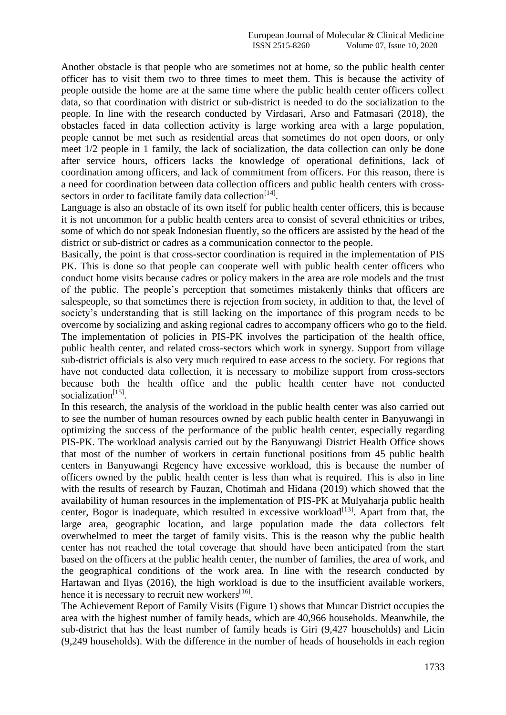Another obstacle is that people who are sometimes not at home, so the public health center officer has to visit them two to three times to meet them. This is because the activity of people outside the home are at the same time where the public health center officers collect data, so that coordination with district or sub-district is needed to do the socialization to the people. In line with the research conducted by Virdasari, Arso and Fatmasari (2018), the obstacles faced in data collection activity is large working area with a large population, people cannot be met such as residential areas that sometimes do not open doors, or only meet 1/2 people in 1 family, the lack of socialization, the data collection can only be done after service hours, officers lacks the knowledge of operational definitions, lack of coordination among officers, and lack of commitment from officers. For this reason, there is a need for coordination between data collection officers and public health centers with crosssectors in order to facilitate family data collection<sup>[14]</sup>.

Language is also an obstacle of its own itself for public health center officers, this is because it is not uncommon for a public health centers area to consist of several ethnicities or tribes, some of which do not speak Indonesian fluently, so the officers are assisted by the head of the district or sub-district or cadres as a communication connector to the people.

Basically, the point is that cross-sector coordination is required in the implementation of PIS PK. This is done so that people can cooperate well with public health center officers who conduct home visits because cadres or policy makers in the area are role models and the trust of the public. The people's perception that sometimes mistakenly thinks that officers are salespeople, so that sometimes there is rejection from society, in addition to that, the level of society's understanding that is still lacking on the importance of this program needs to be overcome by socializing and asking regional cadres to accompany officers who go to the field. The implementation of policies in PIS-PK involves the participation of the health office, public health center, and related cross-sectors which work in synergy. Support from village sub-district officials is also very much required to ease access to the society. For regions that have not conducted data collection, it is necessary to mobilize support from cross-sectors because both the health office and the public health center have not conducted socialization<sup>[15]</sup>.

In this research, the analysis of the workload in the public health center was also carried out to see the number of human resources owned by each public health center in Banyuwangi in optimizing the success of the performance of the public health center, especially regarding PIS-PK. The workload analysis carried out by the Banyuwangi District Health Office shows that most of the number of workers in certain functional positions from 45 public health centers in Banyuwangi Regency have excessive workload, this is because the number of officers owned by the public health center is less than what is required. This is also in line with the results of research by Fauzan, Chotimah and Hidana (2019) which showed that the availability of human resources in the implementation of PIS-PK at Mulyaharja public health center, Bogor is inadequate, which resulted in excessive workload<sup>[13]</sup>. Apart from that, the large area, geographic location, and large population made the data collectors felt overwhelmed to meet the target of family visits. This is the reason why the public health center has not reached the total coverage that should have been anticipated from the start based on the officers at the public health center, the number of families, the area of work, and the geographical conditions of the work area. In line with the research conducted by Hartawan and Ilyas (2016), the high workload is due to the insufficient available workers, hence it is necessary to recruit new workers<sup>[16]</sup>.

The Achievement Report of Family Visits (Figure 1) shows that Muncar District occupies the area with the highest number of family heads, which are 40,966 households. Meanwhile, the sub-district that has the least number of family heads is Giri (9,427 households) and Licin (9,249 households). With the difference in the number of heads of households in each region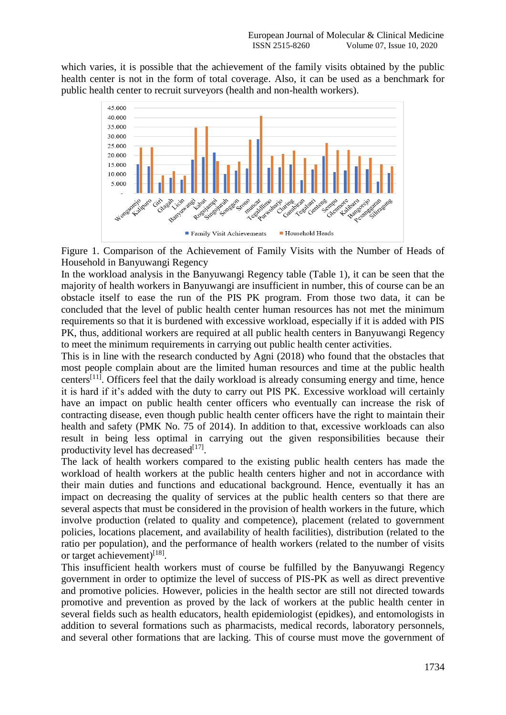which varies, it is possible that the achievement of the family visits obtained by the public health center is not in the form of total coverage. Also, it can be used as a benchmark for public health center to recruit surveyors (health and non-health workers).





In the workload analysis in the Banyuwangi Regency table (Table 1), it can be seen that the majority of health workers in Banyuwangi are insufficient in number, this of course can be an obstacle itself to ease the run of the PIS PK program. From those two data, it can be concluded that the level of public health center human resources has not met the minimum requirements so that it is burdened with excessive workload, especially if it is added with PIS PK, thus, additional workers are required at all public health centers in Banyuwangi Regency to meet the minimum requirements in carrying out public health center activities.

This is in line with the research conducted by Agni (2018) who found that the obstacles that most people complain about are the limited human resources and time at the public health centers<sup>[11]</sup>. Officers feel that the daily workload is already consuming energy and time, hence it is hard if it's added with the duty to carry out PIS PK. Excessive workload will certainly have an impact on public health center officers who eventually can increase the risk of contracting disease, even though public health center officers have the right to maintain their health and safety (PMK No. 75 of 2014). In addition to that, excessive workloads can also result in being less optimal in carrying out the given responsibilities because their productivity level has decreased<sup>[17]</sup>.

The lack of health workers compared to the existing public health centers has made the workload of health workers at the public health centers higher and not in accordance with their main duties and functions and educational background. Hence, eventually it has an impact on decreasing the quality of services at the public health centers so that there are several aspects that must be considered in the provision of health workers in the future, which involve production (related to quality and competence), placement (related to government policies, locations placement, and availability of health facilities), distribution (related to the ratio per population), and the performance of health workers (related to the number of visits or target achievement)<sup>[18]</sup>.

This insufficient health workers must of course be fulfilled by the Banyuwangi Regency government in order to optimize the level of success of PIS-PK as well as direct preventive and promotive policies. However, policies in the health sector are still not directed towards promotive and prevention as proved by the lack of workers at the public health center in several fields such as health educators, health epidemiologist (epidkes), and entomologists in addition to several formations such as pharmacists, medical records, laboratory personnels, and several other formations that are lacking. This of course must move the government of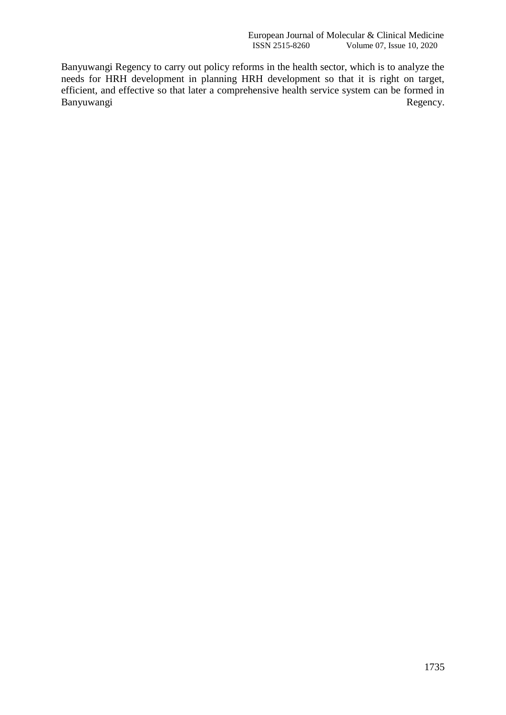Banyuwangi Regency to carry out policy reforms in the health sector, which is to analyze the needs for HRH development in planning HRH development so that it is right on target, efficient, and effective so that later a comprehensive health service system can be formed in Banyuwangi<br>Regency. Banyuwangi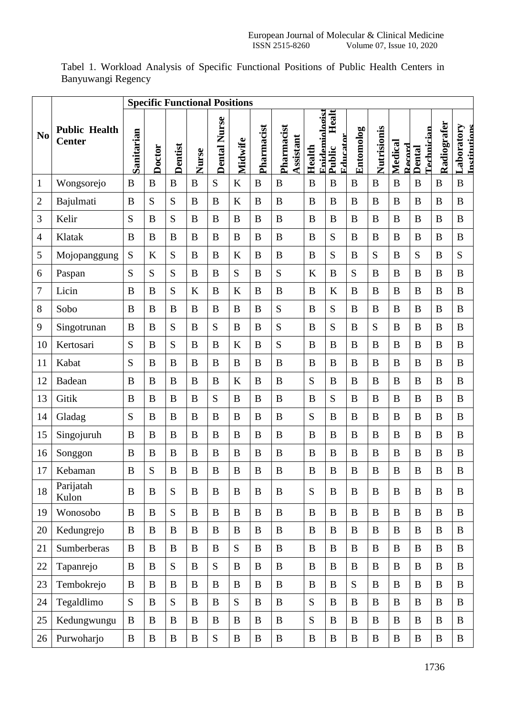|                  |                                       | <b>Specific Functional Positions</b> |              |          |              |                     |              |            |                         |                          |                             |              |              |                   |                      |                  |                            |
|------------------|---------------------------------------|--------------------------------------|--------------|----------|--------------|---------------------|--------------|------------|-------------------------|--------------------------|-----------------------------|--------------|--------------|-------------------|----------------------|------------------|----------------------------|
| N <sub>0</sub>   | <b>Public Health</b><br><b>Center</b> | Sanitarian                           | Doctor       | Dentist  | Nurse        | <b>Dental Nurse</b> | Midwife      | Pharmacist | Pharmacist<br>Assistant | Rnidemiologist<br>Health | Healt<br>Educator<br>Public | Entomolog    | Nutrisionis  | Medical<br>Record | Technician<br>Dental | Radiografer      | Laboratory<br>Institutions |
| $\mathbf{1}$     | Wongsorejo                            | B                                    | $\bf{B}$     | B        | $\bf{B}$     | S                   | $\bf K$      | $\bf{B}$   | B                       | B                        | $\overline{B}$              | $\bf{B}$     | $\bf{B}$     | $\bf{B}$          | B                    | $\bf{B}$         | $\bf{B}$                   |
| $\overline{2}$   | Bajulmati                             | $\boldsymbol{B}$                     | S            | S        | B            | $\, {\bf B}$        | $\bf K$      | B          | B                       | B                        | $\bf{B}$                    | $\bf{B}$     | $\bf{B}$     | B                 | B                    | $\bf{B}$         | $\bf{B}$                   |
| 3                | Kelir                                 | S                                    | $\bf{B}$     | S        | B            | $\bf{B}$            | $\bf{B}$     | $\bf{B}$   | $\bf{B}$                | B                        | $\bf{B}$                    | $\bf{B}$     | $\bf{B}$     | B                 | B                    | $\bf{B}$         | $\bf{B}$                   |
| $\overline{4}$   | Klatak                                | B                                    | $\mathbf B$  | B        | B            | B                   | $\, {\bf B}$ | B          | B                       | B                        | S                           | $\bf{B}$     | B            | B                 | B                    | $\bf{B}$         | B                          |
| 5                | Mojopanggung                          | S                                    | K            | S        | $\bf{B}$     | $\bf{B}$            | $\bf K$      | B          | B                       | B                        | S                           | B            | S            | B                 | S                    | B                | S                          |
| 6                | Paspan                                | S                                    | S            | S        | B            | $\, {\bf B}$        | ${\bf S}$    | B          | S                       | K                        | $\, {\bf B}$                | S            | B            | B                 | B                    | $\bf{B}$         | $\bf{B}$                   |
| $\boldsymbol{7}$ | Licin                                 | B                                    | $\bf{B}$     | S        | $\bf K$      | $\, {\bf B}$        | $\bf K$      | $\bf{B}$   | B                       | $\bf{B}$                 | $\bf K$                     | $\bf{B}$     | $\bf{B}$     | B                 | B                    | $\bf{B}$         | $\bf{B}$                   |
| 8                | Sobo                                  | B                                    | B            | B        | B            | B                   | $\bf{B}$     | B          | S                       | B                        | S                           | B            | B            | B                 | B                    | $\boldsymbol{B}$ | B                          |
| 9                | Singotrunan                           | B                                    | B            | S        | B            | S                   | $\bf{B}$     | B          | S                       | B                        | S                           | B            | S            | B                 | B                    | B                | B                          |
| 10               | Kertosari                             | S                                    | B            | S        | $\bf{B}$     | $\, {\bf B}$        | $\bf K$      | B          | S                       | B                        | $\bf{B}$                    | $\bf{B}$     | B            | B                 | $\bf{B}$             | $\bf{B}$         | B                          |
| 11               | Kabat                                 | S                                    | B            | B        | B            | $\, {\bf B}$        | $\, {\bf B}$ | B          | $\bf{B}$                | B                        | $\bf{B}$                    | $\bf{B}$     | $\bf{B}$     | B                 | B                    | $\bf{B}$         | $\bf{B}$                   |
| 12               | Badean                                | B                                    | B            | B        | B            | $\, {\bf B}$        | K            | B          | B                       | S                        | B                           | B            | B            | B                 | B                    | B                | B                          |
| 13               | Gitik                                 | B                                    | B            | B        | B            | ${\bf S}$           | $\, {\bf B}$ | B          | B                       | B                        | S                           | B            | B            | B                 | B                    | B                | B                          |
| 14               | Gladag                                | S                                    | B            | B        | B            | $\, {\bf B}$        | $\bf{B}$     | B          | B                       | S                        | $\bf{B}$                    | $\bf{B}$     | B            | B                 | B                    | $\boldsymbol{B}$ | $\bf{B}$                   |
| 15               | Singojuruh                            | B                                    | $\bf{B}$     | B        | B            | $\, {\bf B}$        | $\, {\bf B}$ | B          | B                       | $\bf{B}$                 | $\bf{B}$                    | $\bf{B}$     | $\bf{B}$     | B                 | B                    | $\bf{B}$         | $\bf{B}$                   |
| 16               | Songgon                               | $\boldsymbol{B}$                     | B            | B        | B            | $\, {\bf B}$        | $\, {\bf B}$ | B          | B                       | B                        | B                           | $\bf{B}$     | B            | B                 | B                    | $\bf{B}$         | $\bf{B}$                   |
| 17               | Kebaman                               | B                                    | S            | B        | B            | $\boldsymbol{B}$    | $\, {\bf B}$ | B          | B                       | B                        | $\bf{B}$                    | $\bf{B}$     | B            | $\boldsymbol{B}$  | $\boldsymbol{B}$     | $\bf{B}$         | $\bf{B}$                   |
| 18               | Parijatah<br>Kulon                    | $\boldsymbol{B}$                     | $\bf{B}$     | S        | $\, {\bf B}$ | $\, {\bf B}$        | $\, {\bf B}$ | $\bf{B}$   | B                       | S                        | $\, {\bf B}$                | $\bf{B}$     | $\bf{B}$     | $\bf{B}$          | $\, {\bf B}$         | $\bf{B}$         | $\, {\bf B}$               |
| 19               | Wonosobo                              | $\boldsymbol{B}$                     | $\mathbf B$  | S        | $\bf{B}$     | $\, {\bf B}$        | $\, {\bf B}$ | $\bf{B}$   | $\bf{B}$                | B                        | $\bf{B}$                    | $\bf{B}$     | $\bf{B}$     | $\bf{B}$          | $\, {\bf B}$         | $\, {\bf B}$     | $\, {\bf B}$               |
| 20               | Kedungrejo                            | $\bf{B}$                             | $\bf{B}$     | $\bf{B}$ | $\bf{B}$     | $\bf{B}$            | $\, {\bf B}$ | $\bf{B}$   | $\bf{B}$                | B                        | $\, {\bf B}$                | $\bf{B}$     | $\bf{B}$     | $\bf{B}$          | $\bf{B}$             | $\bf{B}$         | $\bf{B}$                   |
| 21               | Sumberberas                           | B                                    | $\bf{B}$     | $\bf{B}$ | $\bf{B}$     | $\bf{B}$            | S            | B          | $\bf{B}$                | B                        | $\bf{B}$                    | $\bf{B}$     | $\bf{B}$     | B                 | $\bf{B}$             | B                | $\bf{B}$                   |
| 22               | Tapanrejo                             | B                                    | $\bf{B}$     | S        | $\bf{B}$     | S                   | $\, {\bf B}$ | B          | $\bf{B}$                | B                        | $\, {\bf B}$                | $\bf{B}$     | $\mathbf B$  | $\bf{B}$          | $\bf{B}$             | $\overline{B}$   | $\bf{B}$                   |
| 23               | Tembokrejo                            | B                                    | $\bf{B}$     | $\bf{B}$ | $\mathbf B$  | $\, {\bf B}$        | $\, {\bf B}$ | $\bf{B}$   | $\bf{B}$                | B                        | $\bf{B}$                    | S            | $\bf{B}$     | $\bf{B}$          | $\bf{B}$             | $\, {\bf B}$     | $\bf{B}$                   |
| 24               | Tegaldlimo                            | S                                    | $\bf{B}$     | S        | $\bf{B}$     | $\bf{B}$            | S            | B          | $\bf{B}$                | S                        | $\bf{B}$                    | $\, {\bf B}$ | $\, {\bf B}$ | $\bf{B}$          | $\, {\bf B}$         | $\bf{B}$         | $\mathbf B$                |
| 25               | Kedungwungu                           | B                                    | B            | $\bf{B}$ | $\bf{B}$     | $\bf{B}$            | $\bf{B}$     | $\bf{B}$   | $\bf{B}$                | S                        | $\bf{B}$                    | $\bf{B}$     | $\bf{B}$     | $\bf{B}$          | $\bf{B}$             | $\bf{B}$         | $\bf{B}$                   |
| 26               | Purwoharjo                            | $\bf{B}$                             | $\, {\bf B}$ | $\bf{B}$ | $\, {\bf B}$ | ${\bf S}$           | $\, {\bf B}$ | $\bf{B}$   | $\, {\bf B}$            | $\, {\bf B}$             | $\, {\bf B}$                | $\, {\bf B}$ | $\bf{B}$     | $\bf{B}$          | $\, {\bf B}$         | $\, {\bf B}$     | $\, {\bf B}$               |

Tabel 1. Workload Analysis of Specific Functional Positions of Public Health Centers in Banyuwangi Regency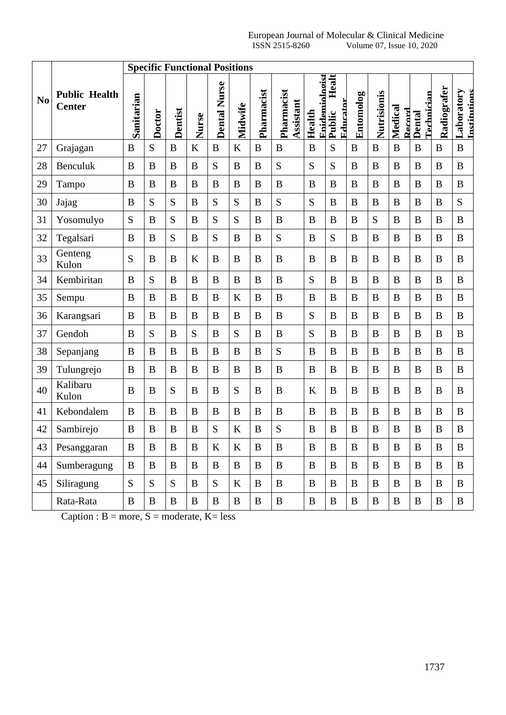| <b>Specific Functional Positions</b> |                                       |              |              |              |              |                     |              |              |                         |                          |                             |              |              |                   |                      |              |                                   |
|--------------------------------------|---------------------------------------|--------------|--------------|--------------|--------------|---------------------|--------------|--------------|-------------------------|--------------------------|-----------------------------|--------------|--------------|-------------------|----------------------|--------------|-----------------------------------|
| N <sub>o</sub>                       | <b>Public Health</b><br><b>Center</b> | Sanitarian   | Doctor       | Dentist      | Nurse        | <b>Dental Nurse</b> | Midwife      | Pharmacist   | Pharmacist<br>Assistant | Enidemiologist<br>Health | Healt<br>Educator<br>Public | Entomolog    | Nutrisionis  | Medical<br>Record | Fechnician<br>Dental | Radiografer  | <b>Laboratory</b><br>Institutions |
| 27                                   | Grajagan                              | B            | S            | $\bf{B}$     | K            | B                   | $\bf K$      | B            | B                       | B                        | S                           | $\bf{B}$     | $\bf{B}$     | $\boldsymbol{B}$  | B                    | $\bf{B}$     | $\bf{B}$                          |
| 28                                   | Benculuk                              | $\bf{B}$     | B            | B            | B            | S                   | $\, {\bf B}$ | B            | S                       | S                        | S                           | $\bf{B}$     | $\bf{B}$     | B                 | $\bf{B}$             | $\bf{B}$     | $\bf{B}$                          |
| 29                                   | Tampo                                 | $\bf{B}$     | B            | B            | B            | $\bf{B}$            | $\bf{B}$     | B            | B                       | B                        | $\bf{B}$                    | $\bf{B}$     | B            | B                 | $\bf{B}$             | $\bf{B}$     | $\bf{B}$                          |
| 30                                   | Jajag                                 | $\bf{B}$     | S            | S            | B            | S                   | S            | B            | S                       | S                        | B                           | $\bf{B}$     | B            | B                 | $\bf{B}$             | $\bf{B}$     | S                                 |
| 31                                   | Yosomulyo                             | S            | B            | S            | B            | S                   | S            | B            | $\bf{B}$                | B                        | $\bf{B}$                    | B            | S            | B                 | B                    | $\bf{B}$     | $\bf{B}$                          |
| 32                                   | Tegalsari                             | B            | B            | S            | B            | S                   | B            | B            | S                       | B                        | S                           | $\bf{B}$     | B            | B                 | B                    | B            | B                                 |
| 33                                   | Genteng<br>Kulon                      | S            | B            | B            | $\bf K$      | B                   | B            | B            | B                       | B                        | B                           | B            | B            | B                 | B                    | B            | B                                 |
| 34                                   | Kembiritan                            | $\bf{B}$     | S            | B            | B            | $\bf{B}$            | $\bf{B}$     | B            | B                       | S                        | $\bf{B}$                    | $\bf{B}$     | B            | B                 | $\bf{B}$             | $\bf{B}$     | $\bf{B}$                          |
| 35                                   | Sempu                                 | B            | B            | B            | B            | B                   | $\bf K$      | B            | B                       | B                        | B                           | $\, {\bf B}$ | B            | B                 | B                    | $\bf{B}$     | $\bf{B}$                          |
| 36                                   | Karangsari                            | $\bf{B}$     | B            | B            | B            | $\bf{B}$            | $\bf{B}$     | B            | $\bf{B}$                | S                        | $\bf{B}$                    | $\bf{B}$     | B            | B                 | $\bf{B}$             | $\bf{B}$     | $\bf{B}$                          |
| 37                                   | Gendoh                                | B            | S            | B            | S            | B                   | S            | B            | B                       | S                        | $\bf{B}$                    | $\bf{B}$     | B            | B                 | B                    | $\bf{B}$     | B                                 |
| 38                                   | Sepanjang                             | $\bf{B}$     | B            | B            | B            | $\bf{B}$            | $\bf{B}$     | B            | S                       | B                        | $\bf{B}$                    | $\bf{B}$     | B            | B                 | $\bf{B}$             | $\bf{B}$     | $\bf{B}$                          |
| 39                                   | Tulungrejo                            | $\bf{B}$     | B            | B            | B            | $\bf{B}$            | $\bf{B}$     | B            | B                       | B                        | $\bf{B}$                    | $\bf{B}$     | B            | B                 | B                    | $\bf{B}$     | B                                 |
| 40                                   | Kalibaru<br>Kulon                     | $\bf{B}$     | B            | S            | B            | B                   | S            | B            | B                       | $\bf K$                  | B                           | $\bf{B}$     | B            | B                 | B                    | $\bf{B}$     | B                                 |
| 41                                   | Kebondalem                            | B            | B            | B            | B            | B                   | B            | B            | B                       | B                        | B                           | B            | B            | B                 | B                    | B            | B                                 |
| 42                                   | Sambirejo                             | $\bf{B}$     | B            | B            | B            | S                   | K            | B            | S                       | B                        | $\bf{B}$                    | B            | B            | B                 | B                    | $\bf{B}$     | B                                 |
| 43                                   | Pesanggaran                           | $\bf{B}$     | $\bf{B}$     | $\, {\bf B}$ | $\, {\bf B}$ | $\bf K$             | $\bf K$      | $\bf{B}$     | $\bf{B}$                | $\, {\bf B}$             | $\bf{B}$                    | $\bf{B}$     | $\bf{B}$     | $\, {\bf B}$      | $\bf{B}$             | $\bf{B}$     | $\bf{B}$                          |
| 44                                   | Sumberagung                           | $\, {\bf B}$ | $\bf{B}$     | $\bf{B}$     | $\bf{B}$     | $\bf{B}$            | $\, {\bf B}$ | $\mathbf{B}$ | $\bf{B}$                | B                        | $\, {\bf B}$                | $\, {\bf B}$ | $\bf{B}$     | $\bf{B}$          | $\bf{B}$             | $\, {\bf B}$ | $\, {\bf B}$                      |
| 45                                   | Siliragung                            | S            | S            | S            | $\bf{B}$     | S                   | K            | $\bf{B}$     | $\bf{B}$                | $\bf{B}$                 | $\bf{B}$                    | $\bf{B}$     | B            | $\bf{B}$          | $\bf{B}$             | $\bf{B}$     | $\mathbf B$                       |
|                                      | Rata-Rata                             | $\, {\bf B}$ | $\, {\bf B}$ | $\bf{B}$     | B            | $\, {\bf B}$        | $\, {\bf B}$ | $\, {\bf B}$ | $\bf{B}$                | $\bf{B}$                 | $\bf{B}$                    | $\, {\bf B}$ | $\, {\bf B}$ | $\bf{B}$          | $\, {\bf B}$         | $\, {\bf B}$ | $\, {\bf B}$                      |

Caption :  $B = more, S = moderate, K = less$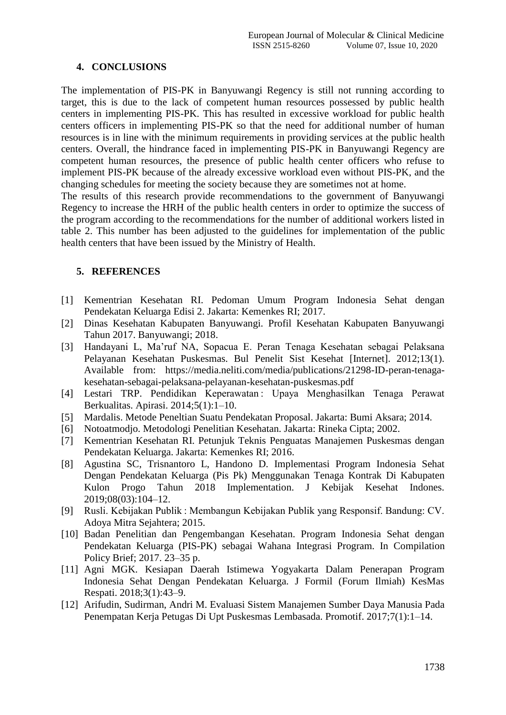## **4. CONCLUSIONS**

The implementation of PIS-PK in Banyuwangi Regency is still not running according to target, this is due to the lack of competent human resources possessed by public health centers in implementing PIS-PK. This has resulted in excessive workload for public health centers officers in implementing PIS-PK so that the need for additional number of human resources is in line with the minimum requirements in providing services at the public health centers. Overall, the hindrance faced in implementing PIS-PK in Banyuwangi Regency are competent human resources, the presence of public health center officers who refuse to implement PIS-PK because of the already excessive workload even without PIS-PK, and the changing schedules for meeting the society because they are sometimes not at home.

The results of this research provide recommendations to the government of Banyuwangi Regency to increase the HRH of the public health centers in order to optimize the success of the program according to the recommendations for the number of additional workers listed in table 2. This number has been adjusted to the guidelines for implementation of the public health centers that have been issued by the Ministry of Health.

### **5. REFERENCES**

- [1] Kementrian Kesehatan RI. Pedoman Umum Program Indonesia Sehat dengan Pendekatan Keluarga Edisi 2. Jakarta: Kemenkes RI; 2017.
- [2] Dinas Kesehatan Kabupaten Banyuwangi. Profil Kesehatan Kabupaten Banyuwangi Tahun 2017. Banyuwangi; 2018.
- [3] Handayani L, Ma'ruf NA, Sopacua E. Peran Tenaga Kesehatan sebagai Pelaksana Pelayanan Kesehatan Puskesmas. Bul Penelit Sist Kesehat [Internet]. 2012;13(1). Available from: https://media.neliti.com/media/publications/21298-ID-peran-tenagakesehatan-sebagai-pelaksana-pelayanan-kesehatan-puskesmas.pdf
- [4] Lestari TRP. Pendidikan Keperawatan : Upaya Menghasilkan Tenaga Perawat Berkualitas. Apirasi. 2014;5(1):1–10.
- [5] Mardalis. Metode Peneltian Suatu Pendekatan Proposal. Jakarta: Bumi Aksara; 2014.
- [6] Notoatmodjo. Metodologi Penelitian Kesehatan. Jakarta: Rineka Cipta; 2002.
- [7] Kementrian Kesehatan RI. Petunjuk Teknis Penguatas Manajemen Puskesmas dengan Pendekatan Keluarga. Jakarta: Kemenkes RI; 2016.
- [8] Agustina SC, Trisnantoro L, Handono D. Implementasi Program Indonesia Sehat Dengan Pendekatan Keluarga (Pis Pk) Menggunakan Tenaga Kontrak Di Kabupaten Kulon Progo Tahun 2018 Implementation. J Kebijak Kesehat Indones. 2019;08(03):104–12.
- [9] Rusli. Kebijakan Publik : Membangun Kebijakan Publik yang Responsif. Bandung: CV. Adoya Mitra Sejahtera; 2015.
- [10] Badan Penelitian dan Pengembangan Kesehatan. Program Indonesia Sehat dengan Pendekatan Keluarga (PIS-PK) sebagai Wahana Integrasi Program. In Compilation Policy Brief; 2017. 23–35 p.
- [11] Agni MGK. Kesiapan Daerah Istimewa Yogyakarta Dalam Penerapan Program Indonesia Sehat Dengan Pendekatan Keluarga. J Formil (Forum Ilmiah) KesMas Respati. 2018;3(1):43–9.
- [12] Arifudin, Sudirman, Andri M. Evaluasi Sistem Manajemen Sumber Daya Manusia Pada Penempatan Kerja Petugas Di Upt Puskesmas Lembasada. Promotif. 2017;7(1):1–14.